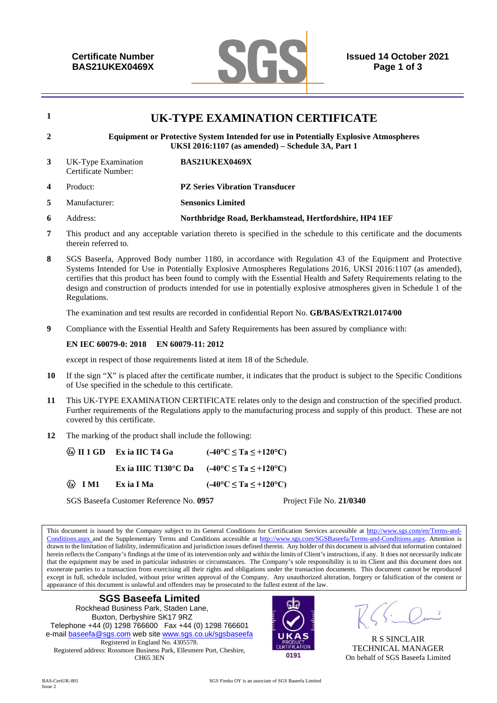

# **<sup>1</sup>UK-TYPE EXAMINATION CERTIFICATE 2 Equipment or Protective System Intended for use in Potentially Explosive Atmospheres UKSI 2016:1107 (as amended) – Schedule 3A, Part 1 3** UK-Type Examination Certificate Number: **BAS21UKEX0469X 4** Product: **PZ Series Vibration Transducer**

- **5** Manufacturer: **Sensonics Limited**
- **6** Address: **Northbridge Road, Berkhamstead, Hertfordshire, HP4 1EF**
- **7** This product and any acceptable variation thereto is specified in the schedule to this certificate and the documents therein referred to.
- **8** SGS Baseefa, Approved Body number 1180, in accordance with Regulation 43 of the Equipment and Protective Systems Intended for Use in Potentially Explosive Atmospheres Regulations 2016, UKSI 2016:1107 (as amended), certifies that this product has been found to comply with the Essential Health and Safety Requirements relating to the design and construction of products intended for use in potentially explosive atmospheres given in Schedule 1 of the Regulations.

The examination and test results are recorded in confidential Report No. **GB/BAS/ExTR21.0174/00** 

**9** Compliance with the Essential Health and Safety Requirements has been assured by compliance with:

#### **EN IEC 60079-0: 2018 EN 60079-11: 2012**

except in respect of those requirements listed at item 18 of the Schedule.

- **10** If the sign "X" is placed after the certificate number, it indicates that the product is subject to the Specific Conditions of Use specified in the schedule to this certificate.
- **11** This UK-TYPE EXAMINATION CERTIFICATE relates only to the design and construction of the specified product. Further requirements of the Regulations apply to the manufacturing process and supply of this product. These are not covered by this certificate.
- **12** The marking of the product shall include the following:

|                              | $\&$ II 1 GD Ex ia IIC T4 Ga | $(-40^{\circ}C \le Ta \le +120^{\circ}C)$                      |
|------------------------------|------------------------------|----------------------------------------------------------------|
|                              |                              | Ex ia IIIC T130°C Da $(-40^{\circ}C \le Ta \le +120^{\circ}C)$ |
| $\langle \omega \rangle$ IM1 | Ex ia I Ma                   | $(-40^{\circ}C \le Ta \le +120^{\circ}C)$                      |

SGS Baseefa Customer Reference No. **0957** Project File No. **21/0340** 

This document is issued by the Company subject to its General Conditions for Certification Services accessible at http://www.sgs.com/en/Terms-and-Conditions.aspx and the Supplementary Terms and Conditions accessible at http://www.sgs.com/SGSBaseefa/Terms-and-Conditions.aspx. Attention is drawn to the limitation of liability, indemnification and jurisdiction issues defined therein. Any holder of this document is advised that information contained herein reflects the Company's findings at the time of its intervention only and within the limits of Client's instructions, if any. It does not necessarily indicate that the equipment may be used in particular industries or circumstances. The Company's sole responsibility is to its Client and this document does not exonerate parties to a transaction from exercising all their rights and obligations under the transaction documents. This document cannot be reproduced except in full, schedule included, without prior written approval of the Company. Any unauthorized alteration, forgery or falsification of the content or appearance of this document is unlawful and offenders may be prosecuted to the fullest extent of the law.





R S SINCLAIR TECHNICAL MANAGER On behalf of SGS Baseefa Limited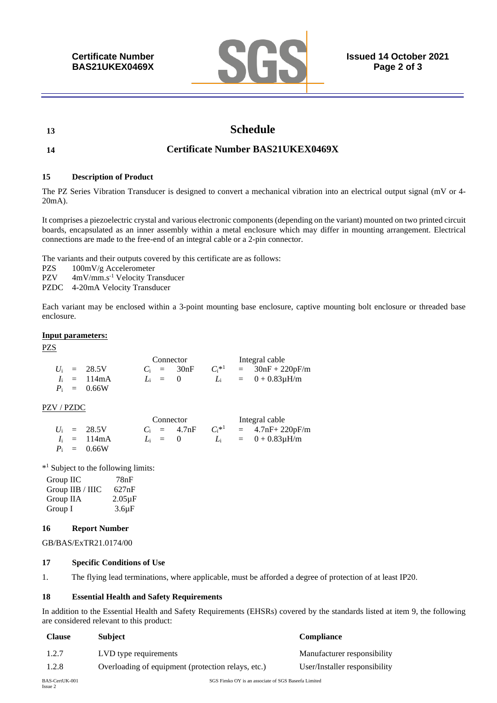

# **13 Schedule**

# **14 Certificate Number BAS21UKEX0469X**

#### **15 Description of Product**

The PZ Series Vibration Transducer is designed to convert a mechanical vibration into an electrical output signal (mV or 4- 20mA).

It comprises a piezoelectric crystal and various electronic components (depending on the variant) mounted on two printed circuit boards, encapsulated as an inner assembly within a metal enclosure which may differ in mounting arrangement. Electrical connections are made to the free-end of an integral cable or a 2-pin connector.

The variants and their outputs covered by this certificate are as follows:

PZS 100mV/g Accelerometer

PZV 4mV/mm.s<sup>-1</sup> Velocity Transducer

PZDC 4-20mA Velocity Transducer

Each variant may be enclosed within a 3-point mounting base enclosure, captive mounting bolt enclosure or threaded base enclosure.

#### **Input parameters:**

PZS

|  |                       | Connector |              |          | Integral cable |                          |  |
|--|-----------------------|-----------|--------------|----------|----------------|--------------------------|--|
|  | $U_i = 28.5V$         |           | $C_i = 30nF$ | $C^{*1}$ |                | $= 30nF + 220pF/m$       |  |
|  | $I_i = 114 \text{mA}$ | $L_i = 0$ |              |          |                | $L_i = 0 + 0.83 \mu H/m$ |  |
|  | $P_i = 0.66W$         |           |              |          |                |                          |  |

### PZV / PZDC

|  |                       | Connector |                |          | Integral cable |                          |  |
|--|-----------------------|-----------|----------------|----------|----------------|--------------------------|--|
|  | $U_i = 28.5V$         |           | $C_i = 4.7$ nF | $C^{*1}$ |                | $= 4.7nF + 220pF/m$      |  |
|  | $I_i = 114 \text{mA}$ | $L_i = 0$ |                |          |                | $L_i = 0 + 0.83 \mu H/m$ |  |
|  | $P_i = 0.66W$         |           |                |          |                |                          |  |

\* 1 Subject to the following limits:

Group IIC 78nF Group IIB / IIIC 627nF Group IIA 2.05µF Group I 3.6uF

#### **16 Report Number**

GB/BAS/ExTR21.0174/00

#### **17 Specific Conditions of Use**

1. The flying lead terminations, where applicable, must be afforded a degree of protection of at least IP20.

#### **18 Essential Health and Safety Requirements**

In addition to the Essential Health and Safety Requirements (EHSRs) covered by the standards listed at item 9, the following are considered relevant to this product:

| <b>Clause</b> | <b>Subject</b>                                     | <b>Compliance</b>             |
|---------------|----------------------------------------------------|-------------------------------|
| 1.2.7         | LVD type requirements                              | Manufacturer responsibility   |
| 1.2.8         | Overloading of equipment (protection relays, etc.) | User/Installer responsibility |